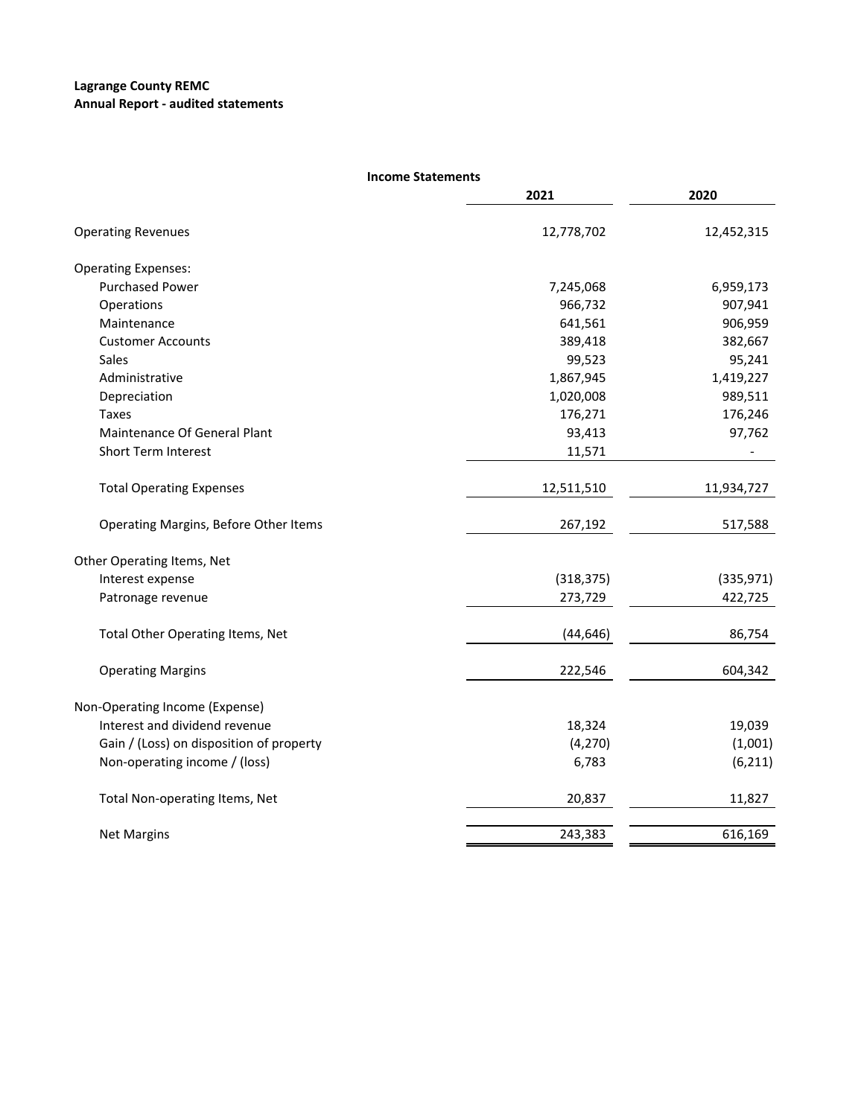## **Lagrange County REMC Annual Report ‐ audited statements**

| <b>Income Statements</b>                 |            |            |
|------------------------------------------|------------|------------|
|                                          | 2021       | 2020       |
| <b>Operating Revenues</b>                | 12,778,702 | 12,452,315 |
| <b>Operating Expenses:</b>               |            |            |
| <b>Purchased Power</b>                   | 7,245,068  | 6,959,173  |
| Operations                               | 966,732    | 907,941    |
| Maintenance                              | 641,561    | 906,959    |
| <b>Customer Accounts</b>                 | 389,418    | 382,667    |
| Sales                                    | 99,523     | 95,241     |
| Administrative                           | 1,867,945  | 1,419,227  |
| Depreciation                             | 1,020,008  | 989,511    |
| <b>Taxes</b>                             | 176,271    | 176,246    |
| Maintenance Of General Plant             | 93,413     | 97,762     |
| <b>Short Term Interest</b>               | 11,571     |            |
| <b>Total Operating Expenses</b>          | 12,511,510 | 11,934,727 |
| Operating Margins, Before Other Items    | 267,192    | 517,588    |
| Other Operating Items, Net               |            |            |
| Interest expense                         | (318, 375) | (335,971)  |
| Patronage revenue                        | 273,729    | 422,725    |
| Total Other Operating Items, Net         | (44, 646)  | 86,754     |
| <b>Operating Margins</b>                 | 222,546    | 604,342    |
| Non-Operating Income (Expense)           |            |            |
| Interest and dividend revenue            | 18,324     | 19,039     |
| Gain / (Loss) on disposition of property | (4, 270)   | (1,001)    |
| Non-operating income / (loss)            | 6,783      | (6, 211)   |
| Total Non-operating Items, Net           | 20,837     | 11,827     |
| <b>Net Margins</b>                       | 243,383    | 616,169    |